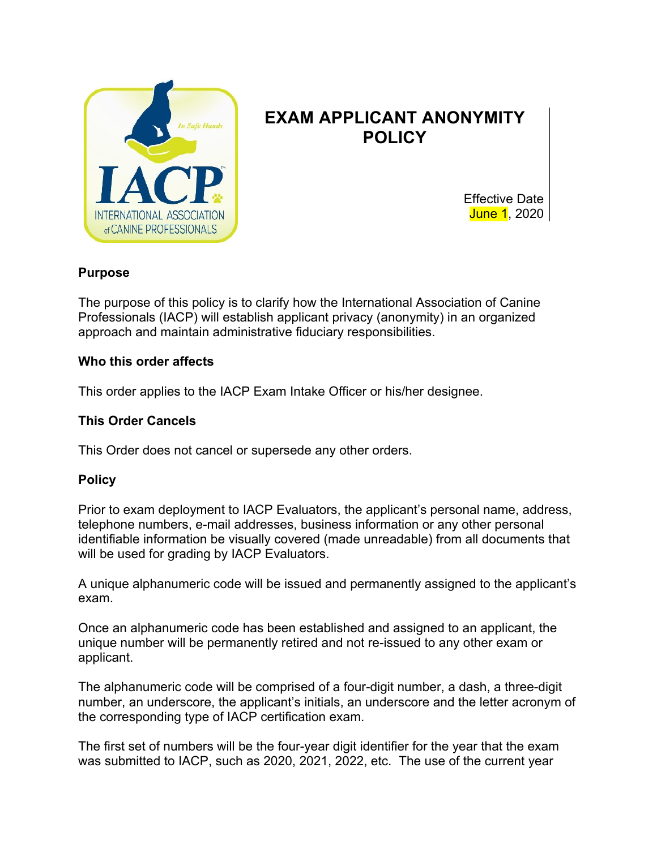

# **EXAM APPLICANT ANONYMITY POLICY**

Effective Date June 1, 2020

#### **Purpose**

The purpose of this policy is to clarify how the International Association of Canine Professionals (IACP) will establish applicant privacy (anonymity) in an organized approach and maintain administrative fiduciary responsibilities.

#### **Who this order affects**

This order applies to the IACP Exam Intake Officer or his/her designee.

## **This Order Cancels**

This Order does not cancel or supersede any other orders.

### **Policy**

Prior to exam deployment to IACP Evaluators, the applicant's personal name, address, telephone numbers, e-mail addresses, business information or any other personal identifiable information be visually covered (made unreadable) from all documents that will be used for grading by IACP Evaluators.

A unique alphanumeric code will be issued and permanently assigned to the applicant's exam.

Once an alphanumeric code has been established and assigned to an applicant, the unique number will be permanently retired and not re-issued to any other exam or applicant.

The alphanumeric code will be comprised of a four-digit number, a dash, a three-digit number, an underscore, the applicant's initials, an underscore and the letter acronym of the corresponding type of IACP certification exam.

The first set of numbers will be the four-year digit identifier for the year that the exam was submitted to IACP, such as 2020, 2021, 2022, etc. The use of the current year